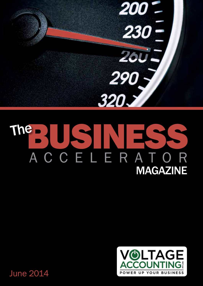$200<sup>-</sup>$  $230 -$ 2601 290, 320.7

# The RISINES ACCELERATOR MAGAZINE



June 2014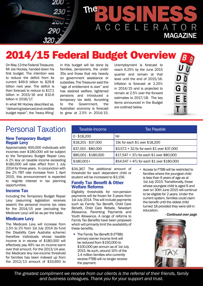

# 2014/15 Federal Budget Overview

On May 13 the Federal Treasurer, Mr Joe Hockey, handed down his first budget. The intention was to reduce the deficit from its current \$49.9 billion to \$29.8 billion next year. The deficit is then forecast to reduce to \$17.1 billion in 2015/16 and \$10.6 billion in 2016/17.

In what Mr Hockey described as, "delivering balanced and credible budget repair", the 'heavy lifting'

in this budget will be done by families, pensioners, the under 35s and those that rely heavily on government assistance or subsidies. The Treasurer said the "age of entitlement is over" and has slashed welfare, tightened pensions and introduced a temporary tax debt. According to the Government, the Australian economy is forecast to grow at 2.5% in 2014/15. Unemployment is forecast to reach 6.25% by the June 2015 quarter and remain at that level until the end of 2015/16. Inflation is forecast at 2.25% in 2014/15 and is projected to remain at 2.5% over the forward estimates to 2017/18. The key items announced in the Budget are outlined below.

### Personal Taxation

#### **New Temporary Budget Repair Levy**

Approximately 400,000 individuals with incomes over \$180,000 will be subject to the Temporary Budget Repair Levy. A 2% levy on taxable income exceeding \$180,000 will take effect from 1 July 2014 for three years. In conjunction with the 2% FBT rate increase from 1 April 2015, this announcement is expected to reignite interest in tax planning opportunities.

### **Income Tax**

Including the Temporary Budget Repair Levy (assuming legislation receives assent) the personal income tax rates for the 2014/15 year (excluding the Medicare Levy) will be as per the table.

### **Medicare Levy**

The Medicare Levy will increase from 1.5% to 2% from 1st July 2014 (to fund the Disability Care Australia scheme) therefore individuals whose taxable income is in excess of \$180,000 will effectively pay 49% tax on income earnt over that amount. For the 2013/14 year, the Medicare levy low-income threshold for families has been indexed up from the 2012/13 amount of \$33,693 to

| Taxable Income       | <b>Tax Payable</b>                         |  |  |
|----------------------|--------------------------------------------|--|--|
| $0 - $18,200$        | Nil                                        |  |  |
| \$18,201 - \$37,000  | 19c for each \$1 over \$18,200             |  |  |
| \$37,001 - \$80,000  | \$3,572 + 32.5c for each \$1 over \$37,000 |  |  |
| \$80,001 - \$180,000 | \$17,547 + 37c for each \$1 over \$80,000  |  |  |
| $$180,001+$          | \$54,547 + 47c for each \$1 over \$180,000 |  |  |

\$34,367. The additional amount of threshold for each dependent child or student will be increased to \$3,156.

#### **Family Tax Benefit & Other Welfare Reforms**

Eligibility thresholds for non-pension payments will be frozen for 3 years from 1st July 2014. This will include payments such as Family Tax Benefit, Child Care Benefit, Child Care Rebate, Newstart Allowance, Parenting Payments and Youth Allowance. A range of reforms to Family Tax Benefits have been proposed which will primarily limit the availability of these benefits.

- The Family Tax Benefit B (FTBB) primary earner income limit will be reduced from \$150,000 to \$100,000 per annum as of 1st July 2015. As such, around 10% of the 1.4 million families who currently receive FTBB will no longer receive the payment.
- Access to FTBB will be restricted to families where the youngest child is less than 6 years of age as at 1st July 2015. Transitionally, those whose youngest child is aged 6 and over on 30th June 2015 will continue to be eligible for 2 years. Under the current system, families could claim the benefit until the oldest child turned 18 provided they were still in education.

#### *- Continued over page*



*The greatest compliment we receive from our clients is the referral of their friends, family and business colleagues. Thank you for your support and trust.*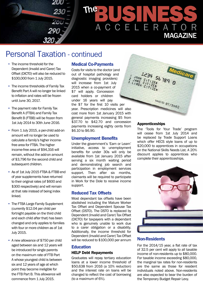

### Personal Taxation - continued

- The income threshold for the Dependent (Invalid and Carer) Tax Offset (DICTO) will also be reduced to \$100,000 from 1 July 2015.
- The income thresholds of Family Tax Benefit Part A will no longer be linked to inflation and rates will be frozen until June 30, 2017.
- The payment rate for Family Tax Benefit A (FTBA) and Family Tax Benefit B (FTBB) will be frozen from 1st July 2014 to 30th June 2016.
- From 1 July 2015, a per-child add-on amount will no longer be used to calculate a family's higher incomefree area for FTBA. The higher income-free area of \$94,316 will remain, without the add-on amount of \$3,796 for the second child and subsequent children.
- As of 1st July 2015 FTBA & FTBB end of year supplements have returned to their original rates (of \$600 and \$300 respectively) and will remain at that rate instead of being index linked.
- The FTBA Large Family Supplement (currently \$12.04 per child per fortnight payable on the third child and each child after that) has been changed and only applies to families with four or more children as of 1st July 2015.
- A new allowance of \$750 per child aged between six and 12 years will be introduced for single parents on the maximum rate of FTB Part A whose youngest child is between six and 12 years of age at which point they become ineligible for the FTB Part B. This allowance will commence from 1 July 2015.

### **Medical Co-Payments**

Costs for visits to the doctor (and out of hospital pathology and diagnostic imaging providers) will increase from 1st July 2015 when a co-payment of \$7 will apply. Concession card holders or children under 16 years will pay

the \$7 for the first 10 visits per year. Prescription medicines will also cost more from 1st January 2015 with general payments increasing \$5 from \$37.70 to \$42.70 and concession payments increasing eighty cents from \$6.10 to \$6.90.

### **Unemployment Benefits**

Under the government's 'Earn or Learn' initiative, access to unemployment benefits for under 30s will only be available from 1st January 2015 after serving a six month waiting period and demonstrating job search and participation in employment services support. Then after six months, claimants will be required to participate in Work for the Dole to receive income support.

### **Reduced Tax Offsets**

Most dependant tax offsets have been abolished including the Mature Worker Tax Offset and Dependent Spouse Tax Offset (DSTO). The DSTO is replaced by Dependent (Invalid and Carer) Tax Offset (DICTO) for taxpayers with a dependant who is genuinely unable to work due to a carer obligation or a disability. Additionally, the income threshold for Dependent (Invalid and Carer) Tax Offset will be reduced to \$100,000 per annum

### **Education**

### **HELP Debt Repayments**

Graduates will repay tertiary education loans at a lower income threshold of \$50,638 from 2016 (a 10% reduction) and the interest rate on loans will be changed to reflect the cost of borrowing (to a maximum of 6%).



### **Apprenticeships**

The 'Tools for Your Trade' program will cease from 1st July 2014 and be replaced by Trade Support Loans which offer HECS style loans of up to \$20,000 to apprentices in occupations on the National Skills Needs List. A 20% discount applies to apprentices who complete their apprenticeships.



### **Non-Residents**

For the 2014/15 year, a flat rate of tax of 32.5 per cent will apply to all taxable income of non-residents up to \$80,000. For taxable income exceeding \$80,000, the marginal tax rates for non-residents are the same as those for resident individuals noted above. Non-residents are also expected to bear the burden of the Temporary Budget Repair Levy.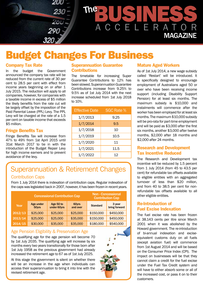

## Budget Changes For Business

### **Company Tax Rate**

In the budget the Government announced the company tax rate will be reduced from the current rate of 30 per cent to 28.5 per cent with effect from income years beginning on or after 1 July 2015. The reduction will apply to all companies, however, for companies with a taxable income in excess of \$5 million the likely benefits from the rate cut will be largely offset by the imposition of the Paid Parental Leave (PPL) Levy. The PPL Levy will be charged at the rate of a 1.5 per cent on taxable income that exceeds \$5 million.

### **Fringe Benefits Tax**

Fringe Benefits Tax will increase from 47% to 49% from 1st April 2015 until 31st March 2017 to tie in with the introduction of the Budget Repair Levy for high income earners and to prevent avoidance of the levy.

#### **Superannuation Guarantee Contributions**

The timetable for increasing Super Guarantee Contributions to 12% has been slowed. Superannuation Guarantee Contributions increase from 9.25% to 9.5% as of 1st July 2014 with the next increase scheduled from 1st July 2018 to 10%.

| <b>Effective Date</b> | <b>SGC Rate %</b> |  |  |
|-----------------------|-------------------|--|--|
| 1/7/2013              | 9.25              |  |  |
| 1/7/2014              | 9.5               |  |  |
| 1/7/2018              | 10                |  |  |
| 1/7/2019              | 10.5              |  |  |
| 1/7/2020              | 11                |  |  |
| 1/7/2021              | 11.5              |  |  |
| 1/7/2022              | 12                |  |  |

### Superannuation & Retirement Changes

### Contribution Caps

From 1 July 2014 there is indexation of contribution caps. Regular indexation of the caps was legislated back in 2007, however, it has been frozen in recent years.

| <b>Concessional Contribution Cap</b> |                    |                          |                   | <b>Non-Concessional</b><br><b>Contribution Cap</b> |                         |
|--------------------------------------|--------------------|--------------------------|-------------------|----------------------------------------------------|-------------------------|
| Year                                 | Age under<br>50yrs | Age 50 to<br>under 60yrs | 60yrs<br>and over | <b>Standard</b>                                    | 3 year<br>bring forward |
| 2012/13                              | \$25,000           | \$25,000                 | \$25,000          | \$150,000                                          | \$450,000               |
| 2013/14                              | \$25,000           | \$25,000                 | \$35,000          | \$150,000                                          | \$450,000               |
| 2014/15                              | \$30,000           | \$35,000                 | \$35,000          | \$180,000                                          | \$540,000               |

### Age Pension Eligibility & Preservation Age

The qualifying age for the age pension will become 70 by 1st July 2035. The qualifying age will increase by six months every two years transitionally for those born after 1st July 1958 as the previous government had already increased the retirement age to 67 as of 1st July 2025.

At this stage the government is silent on whether there will be an increase in the age when individuals can access their superannuation to bring it into line with the revised retirement age.



### **Mature Aged Workers**

As of 1st July 2014, a new wage subsidy called 'Restart' will be introduced. It is specifically designed to encourage employment of Australians aged 50 or over who have been receiving income support (including Disability Support Pension) for at least six months. The maximum subsidy is \$10,000 and instalments will commence after the worker has been employed for at least six months. The maximum \$10,000 subsidy will be pro-rata for part-time employment and will be paid as \$3,000 after the first six months, another \$3,000 after twelve months, \$2,000 after 18 months and \$2,000 after 24 months.

### **Research and Development Tax Incentive Reduced**

The Research and Development tax incentive will be reduced by 1.5 percent from 1 July 2014 (from 45 to 43.5 per cent) for refundable tax offsets available to eligible entities with an aggregated turnover of less than \$20 million, and from 40 to 38.5 per cent for nonrefundable tax offsets available to all other eligible entities.

### **Re-Introduction of Fuel Excise Indexation**

The fuel excise rate has been frozen at 38.143 cents per litre since March 2001 when it was abolished by the Howard government. The re-introduction of bi-annual indexation and exciseequivalent customs duty on all fuels (except aviation fuel) will commence from 1st August 2014 and will be based on the Consumer Price Index (CPI). The impact on businesses will be that they cannot claim a credit for the fuel excise under the Fuel Tax Credit system and will have to either absorb some or all of the increased cost, or pass it on to their customers.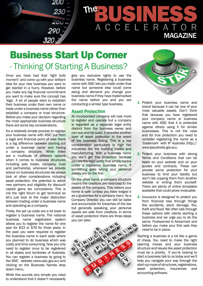

### Business Start Up Corner - Thinking Of Starting A Business?

Once you have had that 'light bulb moment' and come up with your brilliant idea for your new business you want to get started in a hurry. However, before you make any big financial commitment you want to make sure the concept has 'legs'. A lot of people elect to establish their business under their own name or trade under a business name rather than establish a company or trust structure. Before you make your decision regarding the most appropriate business structure there are some key considerations.

It's a relatively simple process to register your business name with ASIC but from a legal and financial point of view there is a big difference between starting out under a business name and having a company structure. While there are a multitude of different options when it comes to business structures including sole trader, company, trust and partnership, whenever we provide advice on business structures we always look at other considerations including asset protection, the potential to admit new partners and eligibility for discount capital gains tax concessions. This is not the right forum to get technical so let's just look at the major distinction between trading under a business name and operating as a company.

Firstly, the set up costs are a lot lower to register a business name. The national business name registration system allows you to register the name for one year for \$33 or \$76 for three years. In the past you were required to register the business name in each state where you planned to do business which was costly and time consuming. Now you only need to register once to be registered in all states and territories of Australia. You can register a business by going to the ASIC website (www.asic.gov.au) and clicking on the Business Names drop down menu.

While this sounds very simple you need to understand that it doesn't necessarily give you exclusive rights to use the business name. Registering a business name with ASIC lets you trade under that name but someone else could come along and demand you change your business name if they have trademarked the name before you and you are conducting a similar type business.

### **Asset Protection**

An incorporated company will cost more to register and operate but a company is regarded as a separate legal entity distinct from the business owner and can sue and be sued. It provides another layer of asset protection in the event of the business failing. This is a key consideration particularly in high risk industries like the building trades and manufacturing. With a business name you don't get this protection because you are the legal entity that simply trades under a registered business name. If something goes wrong your personal assets are on the line.

On the other hand, a company structure means the creditors are restricted to the assets of the company. This means your home is safe (unless you have lodged it as a guarantee for a company loan). As a Company Director, you can still be liable and accountable for breaches of the law but generally speaking, your personal assets are safe from creditors. In terms of asset protection there are three steps you can take:





- **1.** Protect your business name and brand because it can be one of your most valuable assets. Don't think that because you have registered your company name or business name with ASIC that it is protected against others using it for similar businesses. This is not the case and for true protection you need to consider registering the name as a 'trademark' with IP Australia (http:// www.ipaustralia.gov.au).
- **2.** Protect your business with strong Terms and Conditions that can be listed on your website and on your quotes and contracts. These can provide some protection for your business to limit your liability but don't risk copying them from another website or writing them yourself. There are plenty of online templates available that could prove invaluable.
- **3.** Insurance is designed to protect you from financial loss through things like accidents, stock damage, fire, theft and flood. We often talk through these options with clients starting a business and we urge you to do the same. Forewarned is forearmed and before you make your first sale they need to be in place.

Starting a business is a bit like a game of chess. You need to make the right opening moves and your business structure and issues like asset protection must be a priority. If you're looking to start a business talk to us today and we'll help you navigate your way through the start-up maze of structures, registrations, asset protection, insurances and accounting software.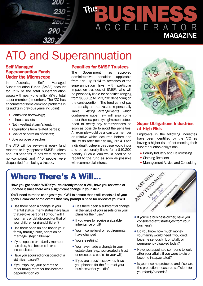

# ATO and Superannuation

### **Self Managed Superannuation Funds Under the Microscope**

In Australia, Self Managed Superannuation Funds (SMSF) account for 31% of the total superannuation assets with nearly one million (8% of total super members) members. The ATO has encountered some common problems in its audits in previous years including:

- Loans and borrowings:
- In-house assets;
- Not investing at arm's length;
- Acquisitions from related parties;
- Lack of separation of assets;
- Sole purpose breaches.

The ATO will be reviewing every fund reported to it by approved SMSF auditors and last year 150 funds were declared non-compliant and 440 people were disqualified from being a trustee.

### **Penalties for SMSF Trustees**

The Government has approved<br>administrative penalties applicable administrative from 1st July 2014 to breaches of the superannuation laws, with particular impact on trustees of SMSFs who will be personally liable for penalties ranging from \$850 up to \$10,200 depending on the contravention. The fund cannot pay the penalty as the trustee is personally liable. Existing arrangements which contravene super law will also come under the new penalty regime so trustees need to rectify any contraventions as soon as possible to avoid the penalties. An example would be a loan to a member or relative which occurred before and still exists after the 1st July, 2014. Each individual trustee in this case would incur and be personally liable for a \$10,200 penalty. Such a loan would need to be with commercial interest.



### **Super Obligations Industries at High Risk**

Employers in the following industries have been identified by the ATO as having a higher risk of not meeting their superannuation obligations:

- Beauty Industry and Hairdressing
- Clothing Retailers
- Management Advice and Consulting

### Where There's A Will...

Have you got a valid Will? If you've already made a Will, have you reviewed or updated it since there was a significant change in your life?

You'll need to make changes to your Will to ensure that it still meets all of your goals. Below are some events that may prompt a need for review of your Will.

- $\bullet$  Has there been a change in your marital status (many states have laws that revoke part or all of your Will if you marry or get divorced) or that of your children or grandchildren?
- Has there been an addition to your family through birth, adoption or marriage (stepchildren)?
- If your spouse or a family member has died, has become ill or is incapacitated.
- Have you acquired or disposed of a significant asset?
- If your spouse, your parents or other family member has become dependent on you.
- $\bullet$  Has there been a substantial change in the value of your assets or in your plans for their use?
- $\bullet$  If you were to receive a sizeable inheritance or gift
- Your income level or requirements have changed
- You are retiring
- You have made a change in your estate plan (e.g., you created a trust or executed a codicil to your will)
- $\bullet$  If you are a business owner, have you planned for the future of your business after you die?



- considered exit strategies from your business?
- Do you know how much money your family would need if you died, became seriously ill, or totally or permanently disabled today?
- Have you appointed someone to look after your affairs if you were to die or become incapacitated?
- Is your income protected and if so, are the protection measures sufficient for your family's needs?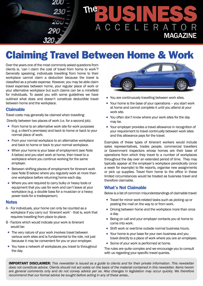

## Claiming Travel Between Home & Work

Over the years one of the most commonly asked questions from clients is, 'can I claim the cost of travel from home to work'? Generally speaking, individuals travelling from home to their workplace cannot claim a deduction because the travel is classified as a private expense. However, you may be able claim travel expenses between home, your regular place of work or your alternative workplace but such claims can be a minefield for individuals. To assist you with some guidelines we have outlined what does and doesn't constitute deductible travel between home and the workplace.

### **Claimable**

Travel costs may generally be claimed when travelling:

Directly between two places of work (i.e. for a second job).

- From home to an alternative work site for work purposes (e.g. a client's premises) and back to home or back to your normal place of work.
- $\bullet$  From your normal workplace to an alternative workplace and back to home or back to your normal workplace.
- When your home is your base of employment (see Note A below) and you start work at home, then travel to a workplace where you continue working for the same employer.
- Between shifting places of employment for itinerant work (see Note B below) where you regularly work at more than one workplace before returning home each day.
- Where you are required to carry bulky or heavy tools or equipment that you use for work and can't leave at your workplace (e.g. a double bass for a musician or a heavy power tools for a tradesperson).

#### **Notes**

- A For individuals, your home can only be counted as a workplace if you carry out 'itinerant work' - that is, work that requires travelling from place to place.
- B Factors which would indicate your work is itinerant would be:
- $\bullet$  The very nature of your work involves travel between various work sites and is fundamental to the role, not just because it may be convenient for you or your employer.
- You have a network of workplaces you travel to throughout the day.



- You are continuously travelling between work sites.
- $\bullet$  Your home is the base of your operations you start work at home and cannot complete it until you attend at your work site.
- You often don't know where your work sites for the day may be.
- Your employer provides a travel allowance in recognition of your requirement to travel continually between work sites and this allowance pays for the travel.

Examples of these types of itinerant workers would include sales representatives, trades people, commercial travellers or Government inspectors whose homes are their base of operations from which they travel to a number of workplaces throughout the day over an extended period of time. They may typically appear at the employer's workplace periodically (once a week for example) to file reports, organise new assignments or pick up supplies. Travel from home to the office in these limited circumstances would be treated as business travel and therefore claimable.

### **What's Not Claimable**

Below is a list of common misunderstandings of claimable travel:

- Travel for minor work-related tasks such as picking up or posting the mail on the way to or from work.
- Driving between home and the workplace more than once a day.
- Being on call and your employer contacts you at home to come into work.
- Shift work or overtime outside normal business hours.
- Your home is your base for your own business and you travel directly to a place of work where you are an employee.
- $\bullet$  Some of your work is performed at home.

The rules are quite complex and we encourage you to consult with us regarding your specific travel queries.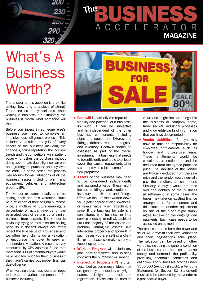

# The BUSINESS ACCELERATOR MAGAZINE

# What's A **Business** Worth?

The answer to this question is a bit like asking, how long is a piece of string? There are so many variables when valuing a business but ultimately the business is worth what someone will pay.

Before you invest in someone else's business you need to complete an intensive due diligence process. This includes a detailed analysis of every aspect of the business including the financials, online reputation, the industry trends and the competitors. An impatient buyer who rushes the purchase without doing appropriate due diligence can end up regretting the purchase and pay 'over the odds'. In some cases, the process may require formal valuations of all the business assets including plant and equipment, vehicles and intellectual property (IP).

The vendor or owner usually sets the asking price and this valuation could be a reflection of their original purchase price, a multiple of future earnings, a percentage of actual revenue or the estimated cost of setting up a similar business from scratch. The vendor is obviously trying to maximise the selling price so it doesn't always accurately reflect the true value of a business and we often help clients do a valuation or encourage the buyer to seek an independent valuation. A recent survey conducted by CPA Australia found that more than 80% of potential buyers would have paid too much for their business if they hadn't carried out proper financial due diligence.

When valuing a business you often need to look at the various components of a business including:



- **Goodwill** is basically the reputation, viability and potential of a business. As such, it can be subjective and is independent of the other business components including plant and equipment, fixtures and fittings, debtors, work in progress and inventory. Goodwill should be assessed as part of the overall investment in a business that needs to be sufficiently profitable to at least cover the capital repayments after tax and provide a fair income for the new proprietor.
- **Assets** of the business may need to be considered independently and assigned a value. These might include buildings, land, equipment, inventory and fixtures and fittings. Often we look at their written down value (after depreciation allowances) or resale value when attaching a price. If the business for sale is a consultancy type business or in a service industry (medical, architect etc.) the majority of the assets are probably 'intangible assets' like intellectual property and goodwill. In such cases you are selling a client list or database so make sure you keep it up to date.
- **Work In Progress** will include any jobs semi-completed and existing contracts the purchaser will inherit.
- **Intellectual Property (IP)** is often described as commercial ideas that are generally protected by copyright, patent, design or trademark registration. These can be hard to

value and might include things like the business or company name, trade secrets, industrial processes and knowledge banks of information that you have documented.

**• Vendor Liabilities** - A buyer may have to take on responsibility for employee entitlements such as holiday and long-service leave. These entitlements would be calculated at settlement and be deducted from the agreed purchase price. The liabilities of the vendor are typically excluded from the sale price and the vendor would normally pay the creditors at settlement. Similarly, a buyer would not take over the debtors of the business at settlement. In some cases, the buyer may take on existing finance arrangements for equipment and this could be another adjustment on sale or the buyer might simply agree to take on the ongoing loan payments. Each case needs to be assessed on its merits.

The process means both the buyer and seller will arrive at their own valuations and then negotiations take place. The valuation can be based on other variables including the general condition of the business and the assets, market supply and demand, the profitability, prevailing economic conditions and cash flow. For businesses costing under \$350,000 (excluding stock), a Vendor's Statement (or Section 52 Statement) must also be provided by the vendor to a prospective buyer.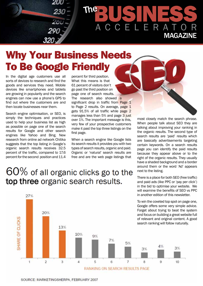

# The BUSINESS ACCELER MAGAZINE

## Why Your Business Needs To Be Google Friendly

In the digital age customers use all sorts of devices to research and find the goods and services they need. Mobile devices like smartphones and tablets are growing in popularity and the search engines can now use a phone's GPS to find out where the customers are and then locate businesses near them.

Search engine optimisation, or SEO, is simply the techniques and practices used to help your business list as high as possible on page one of the search results for Google and other search engines like Yahoo and Bing. New research from online ad network Chitika suggests that the top listing in Google's organic search results receives 32.5 percent of the traffic, compared to 17.6 percent for the second position and 11.4

27%

percent for third position. What this means is that 61 percent of visitors don't go past the third position on page one of search results. The research also showed a significant drop in traffic from Page 1 to Page 2 results. On average, page 1 gets 91.5% of all traffic while page 2 manages less than 5% and page 3 just over 1%. The important message is this, very few of your prospective customers make it past the top three listings on the first page.

When a search engine like Google lists its search results it provides you with two types of search results, organic and paid. Organic or 'natural' search results are free and are the web page listings that

most closely match the search phrase. When people talk about SEO they are talking about improving your ranking in the organic results. The second type of search results are 'paid' results which are basically advertisements targeting certain keywords. On a search results page you can identify the paid results because they appear above or to the right of the organic results. They usually have a shaded background and a border around them or the word 'Ad' appears next to the listing.

There is a place for both SEO (free traffic) and paid ads (like PPC or 'pay per click') in the bid to optimise your website. We will examine the benefits of SEO vs PPC in another edition of this newsletter.

To win the coveted top spot on page one, Google offers some very simple advice. Forget about trying to beat the system and focus on building a great website full of relevant and original content. A good search ranking will follow naturally.

### $60\%$  of all organic clicks go to the top three organic search results.



SOURCE: MARKETINGSHERPA, FEBRUARY 2007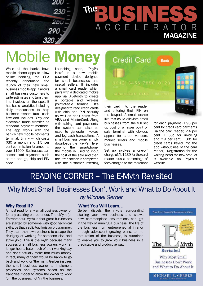The BUSINESS ACCELERA MAGAZINE

# **Mobile Mone**

200

While all the banks have mobile phone apps to allow online banking, the CBA<br>recently announced the announced the launch of their new small business mobile app. It allows small business customers to write estimates and turn them into invoices on the spot. It has basic analytics including daily transactions to help business owners track cash flow and includes BPay and electronic funds transfer as standard payment methods. The app works with the bank's new mobile payments terminal, Emmy which costs \$30 a month and 1.5 per cent commission for amounts over \$1500. Businesses can accept card payments such as tap and go, chip and PIN code.

Launching soon, 'PayPal<br>Here' is a new mobile is a new payment device designed for small businesses and casual sellers. It includes a small card reader which pairs with a dedicated mobile app via Bluetooth to create a portable and wireless point-of-sale terminal. It's designed to read credit cards with chip and PIN security as well as debit cards from VISA and MasterCard. Along with taking card payments, the system can also be used to generate invoices and log cash transactions. A small business owner simply downloads the 'PayPal Here' app on their smartphone, the mobile is used to input the cost of the sale and then the transaction is completed with the customer inserting **Credit Card Bank** 0012 3456 7890 0123

their card into the reader and entering their PIN on the keypad. A small device like this could alleviate small businesses from the full set up cost of a larger point of sale terminal with obvious appeal for street vendors, market sellers and mobile businesses.

Set up involves a one-off charge of AU\$139 for the card reader plus a percentage of fees charged to the merchant for each payment (1.95 per cent for credit card payments via the card reader, 2.4 per cent + 30c for invoicing and 2.9 per cent + 30c for credit cards keyed into the app without use of the card reader). Registration for the waiting list for the new product is available on PayPal's website.

### READING CORNER - The E-Myth Revisited

### Why Most Small Businesses Don't Work and What to Do About It *by Michael Gerber*

### **Why Read It?**

A must read for any small business owner or for any aspiring entrepreneur. The eMyth (or Entrepreneur Myth) is that great businesses are started by someone with good technical skills, be that a solicitor, florist or programmer. They start their own business to escape the drudgery of working for someone else and strike gold. This is the myth because many successful small business owners work far longer hours, hate much of their working day and don't actually make that much money. In fact, many of them would be happy to go back and work for 'the man'. Gerber inspires the small business owner to implement processes and systems based on the franchise model to allow the owner to work 'on' the business, not 'in' the business.

#### **What You Will Learn…**

Gerber dispels the myths surrounding starting your own business and shows how commonplace assumptions can get in the way of running a business. The life of the business from entrepreneurial infancy through adolescent growing pains, to the maturation of the business, is examined to enable you to grow your business in a predictable and productive way.



MICHAEL E. GERBER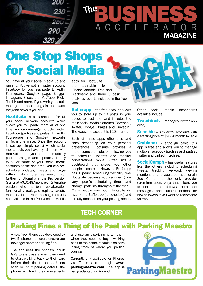

# The BUSINESS ACCELERATOR MAGAZINE

# One Stop Shops for Social Media

You have all your social media up and running. You've got a Twitter account, Facebook for business page, LinkedIn, Foursquare, Google+ page, Blogger, Instagram, Slideshare, YouTube, Flickr, Tumblr and more. If you wish you could manage all these things in one place, the good news is you can.

**HootSuite** is a dashboard for all your social network accounts which allows you to update them all at one time. You can manage multiple Twitter, Facebook (profiles and pages), LinkedIn, Foursquare and Google+ networks all from one place. Once the account is set up, simply select which social media tools you have, synch them with HootSuite and you can automatically post messages and updates directly to all or some of your social media accounts at the one time. You can preschedule updates, tweets and blogs within limits in the free version with further functionality in the Pro Version (starts at A\$10.49/month) or Enterprise version. Also the team collaboration functionality (delegate replies, tweets, mark as done, track messages etc.) is not available in the free version. Mobile

apps for HootSuite are available for iPhone, Android, iPad and Blackberry and there 3 basic analytics reports included in the free version.

**Bufferapp** – the free account allows you to store up to 10 posts in your queue to post later and includes the main social media platforms (Facebook, Twitter, Google+ Pages and LinkedIn). The Awesome account is \$10/month.

Each of these apps offer pros and cons depending on your personal preferences. Hootsuite provides a more complete solution allowing you to schedule updates and monitor conversations, while Buffer isn't a dashboard that shows you other people's content. However, Bufferapp has superior scheduling flexibility over Hootsuite because you can designate very specific scheduling times and change patterns throughout the week. Many people use both Hootsuite (to listen) and Bufferapp (to schedule) and it really depends on your posting needs.

Other social media dashboards available include:

**Tweetdeck** - manages Twitter only (free)

**Sendible** - similar to HootSuite with a starting price of \$9.99/month for solo

**Grabinbox** – although basic, this app is free and allows you to manage multiple Facebook (profiles and pages), Twitter and LinkedIn profiles.

**SocialOomph** – has useful features like the others including scheduling tweets, tracking keyword, viewing mentions and retweets but additionally SocialOomph is the only provider (premium users only) that allows you to set up auto-follows, auto-direct messages and auto-responders for new followers if you want to reciprocate follows.

### **Tech Corner**

### Parking Fines a Thing of the Past with Parking Maestro

A new free iPhone app developed by two Brisbane men could ensure you never get another parking fine.

The app uses the phone's inbuilt GPS to alert users when they need to start walking back to their cars before their ticket expires. Users scan or input parking details, the phone will track their movements

and use an algorithm to tell them when they need to begin walking back to their cars. It could also save losing track of where you parked your car.

Currently only available for iPhones via iTunes and through **www. parkingmaestro.com.** The app is being adapted for Android.

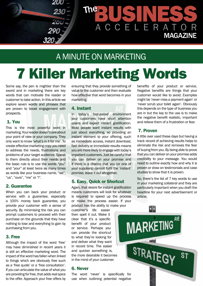

### A Minute on Marketing

# 7 Killer Marketing Words

Some say, the pen is mightier than the sword and in marketing there are key words that can motivate the reader or customer to take action. In this article we explore seven words and phrases that are proven to boost engagement with prospects.

### **1. You**

This is the most powerful word in marketing. Your reader doesn't care about your point of view or your company. They only want to know 'what's in it for me'. To create effective marketing copy you need to address the needs, frustrations and problems of your target audience. Speak to them directly about their needs and the basic rule is to use the words "you" and "your" at least twice as many times as words like your business name, "we", "us", "ours", "me" or "I".

### **2. Guarantee**

When you can back your product or service with a guarantee, especially a 100% money back guarantee, you provide your customer with a sense of security. By minimising the risk you can prompt customers to proceed with their purchase on the grounds that they have nothing to lose and everything to gain by purchasing from you.

### **3. Free**

Although the impact of the word 'free' may have diminished in recent years it is still an effective marketing word. The impact of the word has fallen when linked to things which are obviously free such as a 'free quote' or a 'free consultation'. If you can articulate the value of what you are providing for free, that adds real spice to the offer. Approach your free offers by ensuring that they provide something of value to the customer and then evaluate how effective that word becomes in your marketing.

### **4. Instant**

In today's fast-paced environment your customers have short attention spans and expect instant gratification. Most people want instant results with just about everything, so providing an instant element to your offering, such as immediate access, instant download, fast delivery or immediate results means you are more likely to engage with today's impatient customers. Just be careful that you can deliver on your promise and if there is a chance that you (or one of your suppliers) cannot fulfil the 'instant' promise, leave it out altogether.

### **5. Easy, Quick or Shortcut**

Again, that desire for instant gratification means customers will look for whatever is required to speed up the process or make the process easier. If your product has the ability to make your

customer's life easier then spell it out. Make it clear that it's a specific benefit of your product or service. Perhaps you can provide the shortcut to what they're looking for and deliver what they want in record time. The easier and quicker something is, the more desirable it becomes in the mind of your customer.

### **6. Never**

The word 'never' is specifically for use when outlining potential negative

benefits of your product or service. Negative benefits are things that your customer would like to avoid. Examples might be 'never miss a payment again' or 'never scrub your toilet again'. Obviously this depends on the type of business you are in but the key to the use is to make the negative benefit realistic, important and relieve them of a frustration or fear.

### **7. Proven**

A little over used these days but having a track record of achieving results helps to eliminate the risk and removes the fear of buying from you. By being able to prove that you can deliver on your promise adds credibility to your message. You would need to outline exactly how and why it is proven or draw on testimonials and case studies to show that it is proven.

So, there's the list of 7 key words to use in your marketing collateral and they are particularly important when you draft the headline for your next advertisement or article.

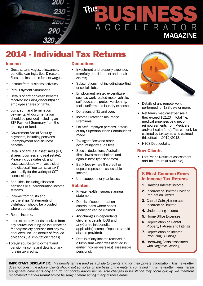

### 2014 - Individual Tax Returns

### **Income**

- Gross salary, wages, allowances, benefits, earnings, tips, Directors Fees and Insurance for lost wages.
- Income from business activities.
- PAYG Payment Summaries.
- Details of any non-cash benefits received including discount(s) on employee shares or rights.
- Lump sum and termination payments. All documentation should be provided including an ETP Payment Summary from the employer or fund.
- Government Social Security payments, including pensions, unemployment and sickness benefits.
- Details of any CGT asset sales (e.g. shares, business and real estate). Please include dates of, and costs associated with, acquisition and disposal (You can save tax if you qualify for the variety of CGT concessions).
- Annuities, including allocated pensions or superannuation income streams.
- Income from trusts and partnerships. Statements of distribution should be provided where appropriate.
- Rental income.
- Interest and dividends received from any source including life insurance or friendly society bonuses and any tax deducted. Include details of franked dividends (i.e. imputation credits).
- Foreign source (employment and pension) income and details of any foreign tax credits.

### **Deductions**

- Investment and property expenses (carefully detail interest and repair claims).
- Subscriptions (not including sporting or social clubs).
- Employment related expenditure such as work-related motor vehicle, self-education, protective clothing, tools, uniform and laundry expenses.
- Donations of \$2 and over.
- Income Protection Insurance Premiums.
- For Self-Employed persons, details of any Superannuation Contributions made.
- Tax Agent Fees and other accounting/tax audit fees.
- Special deductions (Australian films, investment shelters and agribusiness-type schemes).
- Bank fees (where the credit or deposit represents assessable income).
- Unrecouped prior year losses.

#### **Rebates**

- Private health insurance annual statement.
- Details of superannuation contributions where no tax deduction can be claimed.
- Any changes in dependants, children's details, DOB and any Centrelink benefits applicable(income of spouse should also be provided).
- Details of any income received in a lump sum which was accrued in earlier income years (e.g. assessable pensions).



- Details of any remote work performed for 183 days or more.
- Net family medical expenses if they exceed \$2120 in total (i.e. medical expenses paid net of reimbursements from Medicare and/or health fund). This can only be claimed by taxpayers who claimed this offset in 2012/2013.
- HECS Debt details.

### **New Clients**

• Last Year's Notice of Assessment and Tax Return (if available).

### **8 Most Common Errors in Income Tax Returns**

- **1.** Omitting Interest Income
- **2.** Incorrect or Omitted Dividend Imputation Credits
- **3**. Capital Gains/Losses are Incorrect or Omitted
- **4.** Understating Income
- **5.** Home Office Expenses
- **6.** Depreciation on Rental Property Fixtures and Fittings
- **7.** Depreciation on Income Producing Buildings
- **8.** Borrowing Costs associated with Negative Gearing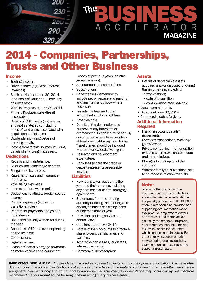

### 2014 - Companies, Partnerships, Trusts and Other Business

### **Income**

- Trading Income.
- Other Income (e.g. Rent, Interest, Royalties).
- Stock on Hand at June 30, 2014 (and basis of valuation) – note any obsolete stock.
- Work-in-Progress at June 30, 2014
- Primary Producer subsidies (if assessable).
- Details of CGT assets (e.g. shares and real estate) sold, including dates of, and costs associated with acquisition and disposal.
- Dividends, including details of franking credits.
- Income from foreign sources including details of any foreign taxes paid.

### **Deductions**

- Repairs and maintenance.
- Salaries, including fringe benefits.
- Fringe benefits tax paid.
- Rates, land taxes and insurance premiums.
- Advertising expenses.
- Interest on borrowed monies.
- Deductions relating to foreign-source income.
- Prepaid expenses (subject to transitional rules).
- Retirement payments and golden handshakes.
- Bad debts actually written off during the year.
- Donations of \$2 and over depending on the recipient.
- Commissions.
- Legal expenses.
- Lease or Chattel Mortgage payments on motor vehicles and equipment.
- Losses of previous years (or intragroup transfers).
- Superannuation contributions.
- Subscriptions.
- Car expenses (remember to include petrol, repairs and parking and maintain a log book where necessary).
- Tax agent's fees and other accounting and tax audit fees.
- Royalties paid.
- Details of the destination and purpose of any interstate or overseas trip. Expenses must be fully documented where travel involves at least one night away from home. Travel diaries should be included where travel exceeds five nights.
- Research and development expenditure.
- Bank fees (where the credit or deposit represents assessable income).

### **Liabilities**

- New loans taken out during the year and their purpose, including any new lease or chattel mortgage agreements.
- Statements from the lending authority detailing the opening and closing balances of existing loans during the financial year.
- Provisions for long service and annual leave.
- Creditors at June 30, 2014.
- Details of loan accounts to directors, shareholders, beneficiaries and partners.
- Accrued expenses (e.g. audit fees, interest payments).
- Commercial debts forgiven.

### **Assets**

- Details of depreciable assets acquired and/or disposed of during this income year, including:
	- type of asset;
	- date of acquisition;
	- consideration received/paid.
- Lease commitments.
- Debtors at June 30, 2014.
- Commercial debts forgiven.

### **Additional Information Required**

- Franking account details/ movements.
- Overseas transactions, exchange gains/losses.
- Private companies remuneration or loans to directors, shareholders and their relatives.
- Changes to the capital of the company.
- Whether family trust elections have been made in relation to trusts.

### Note:

To ensure that you obtain the maximum deductions to which you are entitled and in consideration of the penalty provisions, FULL DETAILS of any claim should be provided and supporting documentation made available. For employee taxpayers and for travel and motor vehicle claims by self-employed taxpayers, documentation must be a receipt, tax invoice or similar document which contains certain details. For other taxpayers, documentation may comprise receipts, dockets, diary notations or reasonable and supporting estimates.